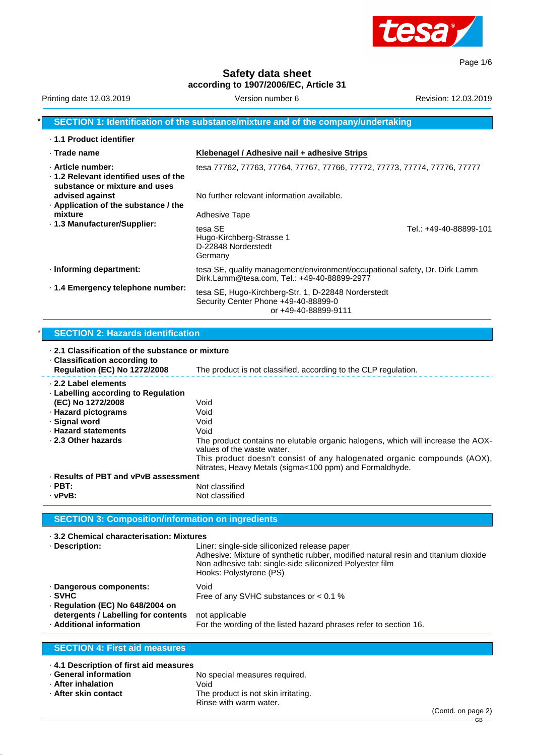

Page 1/6

**Safety data sheet**

**according to 1907/2006/EC, Article 31**

| Version number 6                                                                                                          | Revision: 12.03.2019   |
|---------------------------------------------------------------------------------------------------------------------------|------------------------|
| SECTION 1: Identification of the substance/mixture and of the company/undertaking                                         |                        |
|                                                                                                                           |                        |
| Klebenagel / Adhesive nail + adhesive Strips                                                                              |                        |
| tesa 77762, 77763, 77764, 77767, 77766, 77772, 77773, 77774, 77776, 77777                                                 |                        |
| No further relevant information available.                                                                                |                        |
| <b>Adhesive Tape</b>                                                                                                      |                        |
| tesa SE<br>Hugo-Kirchberg-Strasse 1<br>D-22848 Norderstedt<br>Germany                                                     | Tel.: +49-40-88899-101 |
| tesa SE, quality management/environment/occupational safety, Dr. Dirk Lamm<br>Dirk.Lamm@tesa.com, Tel.: +49-40-88899-2977 |                        |
| tesa SE, Hugo-Kirchberg-Str. 1, D-22848 Norderstedt<br>Security Center Phone +49-40-88899-0<br>or +49-40-88899-9111       |                        |
|                                                                                                                           |                        |

#### \* **SECTION 2: Hazards identification**

| ⋅ 2.1 Classification of the substance or mixture<br>⋅ Classification according to |                                                                                                                                     |  |
|-----------------------------------------------------------------------------------|-------------------------------------------------------------------------------------------------------------------------------------|--|
| <b>Regulation (EC) No 1272/2008</b>                                               | The product is not classified, according to the CLP regulation.                                                                     |  |
| 2.2 Label elements<br>⋅ Labelling according to Regulation                         |                                                                                                                                     |  |
| (EC) No 1272/2008                                                                 | Void                                                                                                                                |  |
| · Hazard pictograms                                                               | Void                                                                                                                                |  |
| · Signal word                                                                     | Void                                                                                                                                |  |
| · Hazard statements                                                               | Void                                                                                                                                |  |
| 2.3 Other hazards                                                                 | The product contains no elutable organic halogens, which will increase the AOX-<br>values of the waste water.                       |  |
|                                                                                   | This product doesn't consist of any halogenated organic compounds (AOX),<br>Nitrates, Heavy Metals (sigma<100 ppm) and Formaldhyde. |  |
| · Results of PBT and vPvB assessment                                              |                                                                                                                                     |  |
| $\cdot$ PBT:                                                                      | Not classified                                                                                                                      |  |
| · vPvB:                                                                           | Not classified                                                                                                                      |  |

#### **SECTION 3: Composition/information on ingredients**

· **3.2 Chemical characterisation: Mixtures** Liner: single-side siliconized release paper Adhesive: Mixture of synthetic rubber, modified natural resin and titanium dioxide Non adhesive tab: single-side siliconized Polyester film Hooks: Polystyrene (PS) · **Dangerous components:** Void · **SVHC** Free of any SVHC substances or < 0.1 % · **Regulation (EC) No 648/2004 on detergents / Labelling for contents** not applicable<br>**Additional information** For the wordin For the wording of the listed hazard phrases refer to section 16.

# **SECTION 4: First aid measures**

| 4.1 Description of first aid measures |                                     |
|---------------------------------------|-------------------------------------|
| ⋅ General information                 | No special measures required.       |
| After inhalation .                    | Void                                |
| ⋅ After skin contact                  | The product is not skin irritating. |
|                                       | Rinse with warm water.              |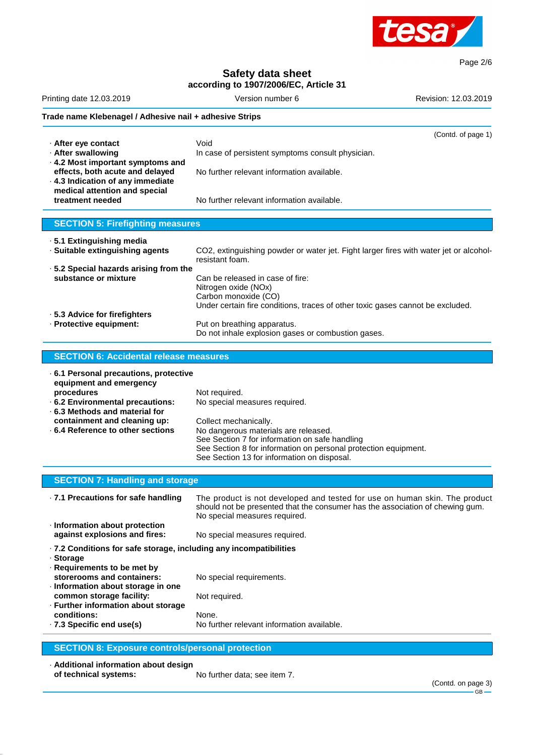

Page 2/6

# **Safety data sheet**

|                    | according to 1907/2006/EC, Article 31                                                                                                                                                                                                                                               |                                                                                                                                                                                                                               |  |
|--------------------|-------------------------------------------------------------------------------------------------------------------------------------------------------------------------------------------------------------------------------------------------------------------------------------|-------------------------------------------------------------------------------------------------------------------------------------------------------------------------------------------------------------------------------|--|
|                    | Version number 6<br>Revision: 12.03.2019                                                                                                                                                                                                                                            | Printing date 12.03.2019                                                                                                                                                                                                      |  |
|                    | Trade name Klebenagel / Adhesive nail + adhesive Strips                                                                                                                                                                                                                             |                                                                                                                                                                                                                               |  |
| (Contd. of page 1) | Void<br>In case of persistent symptoms consult physician.<br>No further relevant information available.                                                                                                                                                                             | · After eye contact<br>· After swallowing<br>. 4.2 Most important symptoms and<br>effects, both acute and delayed                                                                                                             |  |
|                    | No further relevant information available.                                                                                                                                                                                                                                          | . 4.3 Indication of any immediate<br>medical attention and special<br>treatment needed                                                                                                                                        |  |
|                    |                                                                                                                                                                                                                                                                                     | <b>SECTION 5: Firefighting measures</b>                                                                                                                                                                                       |  |
|                    | CO2, extinguishing powder or water jet. Fight larger fires with water jet or alcohol-<br>resistant foam.                                                                                                                                                                            | · 5.1 Extinguishing media<br>· Suitable extinguishing agents                                                                                                                                                                  |  |
|                    | Can be released in case of fire:<br>Nitrogen oxide (NOx)<br>Carbon monoxide (CO)<br>Under certain fire conditions, traces of other toxic gases cannot be excluded.                                                                                                                  | .5.2 Special hazards arising from the<br>substance or mixture                                                                                                                                                                 |  |
|                    | Put on breathing apparatus.<br>Do not inhale explosion gases or combustion gases.                                                                                                                                                                                                   | · 5.3 Advice for firefighters<br>· Protective equipment:                                                                                                                                                                      |  |
|                    | <b>SECTION 6: Accidental release measures</b>                                                                                                                                                                                                                                       |                                                                                                                                                                                                                               |  |
|                    | Not required.<br>No special measures required.<br>Collect mechanically.<br>No dangerous materials are released.<br>See Section 7 for information on safe handling<br>See Section 8 for information on personal protection equipment.<br>See Section 13 for information on disposal. | 6.1 Personal precautions, protective<br>equipment and emergency<br>procedures<br>.6.2 Environmental precautions:<br>⋅ 6.3 Methods and material for<br>containment and cleaning up:<br>$\cdot$ 6.4 Reference to other sections |  |
|                    |                                                                                                                                                                                                                                                                                     | <b>SECTION 7: Handling and storage</b>                                                                                                                                                                                        |  |
|                    | The product is not developed and tested for use on human skin. The product<br>should not be presented that the consumer has the association of chewing gum.<br>No special measures required.                                                                                        | · 7.1 Precautions for safe handling                                                                                                                                                                                           |  |
|                    | No special measures required.                                                                                                                                                                                                                                                       | · Information about protection<br>against explosions and fires:                                                                                                                                                               |  |
|                    | · 7.2 Conditions for safe storage, including any incompatibilities<br>No special requirements.<br>Not required.                                                                                                                                                                     | · Storage<br>· Requirements to be met by<br>storerooms and containers:<br>· Information about storage in one<br>common storage facility:<br>· Further information about storage                                               |  |
|                    |                                                                                                                                                                                                                                                                                     |                                                                                                                                                                                                                               |  |

## **SECTION 8: Exposure controls/personal protection**

· **Additional information about design**

No further data; see item 7.

(Contd. on page 3)  $-$  GB  $-$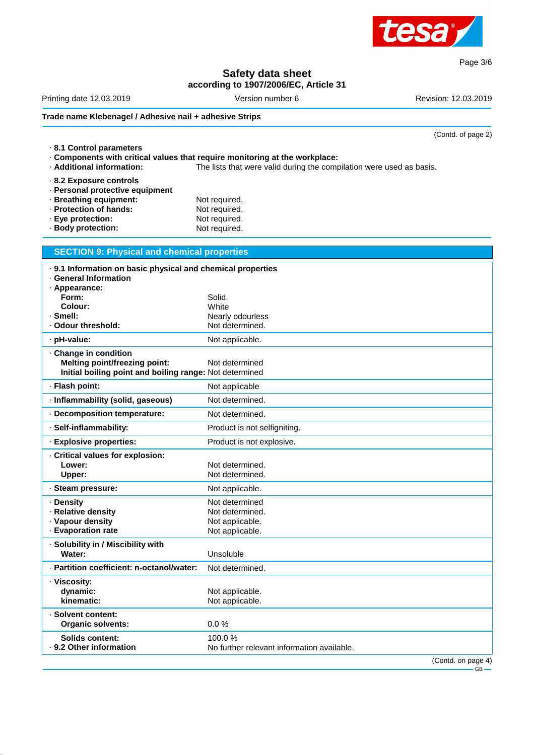

# **Safety data sheet**

**according to 1907/2006/EC, Article 31**

Printing date 12.03.2019 **Version number 6** Revision: 12.03.2019 **Revision: 12.03.2019 Trade name Klebenagel / Adhesive nail + adhesive Strips**

(Contd. of page 2)

Page 3/6

| 8.1 Control parameters<br>· Components with critical values that require monitoring at the workplace:<br>· Additional information:                      | The lists that were valid during the compilation were used as basis.    |
|---------------------------------------------------------------------------------------------------------------------------------------------------------|-------------------------------------------------------------------------|
| 8.2 Exposure controls<br>· Personal protective equipment<br>· Breathing equipment:<br>· Protection of hands:<br>· Eye protection:<br>· Body protection: | Not required.<br>Not required.<br>Not required.<br>Not required.        |
| <b>SECTION 9: Physical and chemical properties</b>                                                                                                      |                                                                         |
| . 9.1 Information on basic physical and chemical properties<br>· General Information                                                                    |                                                                         |
| · Appearance:                                                                                                                                           |                                                                         |
| Form:<br>Colour:                                                                                                                                        | Solid.<br>White                                                         |
| · Smell:                                                                                                                                                | Nearly odourless                                                        |
| · Odour threshold:                                                                                                                                      | Not determined.                                                         |
| · pH-value:                                                                                                                                             | Not applicable.                                                         |
| · Change in condition<br><b>Melting point/freezing point:</b><br>Initial boiling point and boiling range: Not determined                                | Not determined                                                          |
| · Flash point:                                                                                                                                          | Not applicable                                                          |
| · Inflammability (solid, gaseous)                                                                                                                       | Not determined.                                                         |
| · Decomposition temperature:                                                                                                                            | Not determined.                                                         |
| · Self-inflammability:                                                                                                                                  | Product is not selfigniting.                                            |
| · Explosive properties:                                                                                                                                 | Product is not explosive.                                               |
| Critical values for explosion:<br>Lower:<br>Upper:                                                                                                      | Not determined.<br>Not determined.                                      |
| · Steam pressure:                                                                                                                                       | Not applicable.                                                         |
| · Density<br>· Relative density<br>· Vapour density<br>· Evaporation rate                                                                               | Not determined<br>Not determined.<br>Not applicable.<br>Not applicable. |
| · Solubility in / Miscibility with<br>Water:                                                                                                            | Unsoluble                                                               |
| · Partition coefficient: n-octanol/water:                                                                                                               | Not determined.                                                         |
| · Viscosity:<br>dynamic:<br>kinematic:                                                                                                                  | Not applicable.<br>Not applicable.                                      |
| · Solvent content:<br><b>Organic solvents:</b>                                                                                                          | 0.0%                                                                    |
| <b>Solids content:</b><br>. 9.2 Other information                                                                                                       | 100.0%<br>No further relevant information available.                    |

(Contd. on page 4)  $-$  GB  $\cdot$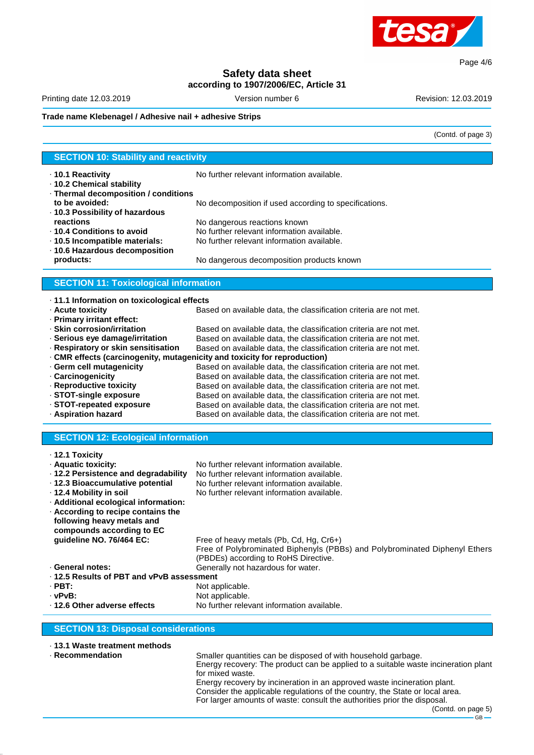

Page 4/6

# **Safety data sheet**

**according to 1907/2006/EC, Article 31**

Printing date 12.03.2019 **Version number 6** Revision: 12.03.2019 **Revision: 12.03.2019** 

(Contd. of page 3)

#### **Trade name Klebenagel / Adhesive nail + adhesive Strips**

| <b>SECTION 10: Stability and reactivity</b>       |                                                                         |  |  |  |  |
|---------------------------------------------------|-------------------------------------------------------------------------|--|--|--|--|
|                                                   |                                                                         |  |  |  |  |
| ⋅ 10.1 Reactivity                                 | No further relevant information available.                              |  |  |  |  |
| ⋅ 10.2 Chemical stability                         |                                                                         |  |  |  |  |
| · Thermal decomposition / conditions              |                                                                         |  |  |  |  |
| to be avoided:                                    | No decomposition if used according to specifications.                   |  |  |  |  |
| ⋅ 10.3 Possibility of hazardous                   |                                                                         |  |  |  |  |
| reactions                                         | No dangerous reactions known                                            |  |  |  |  |
| ⋅ 10.4 Conditions to avoid                        | No further relevant information available.                              |  |  |  |  |
| · 10.5 Incompatible materials:                    | No further relevant information available.                              |  |  |  |  |
| · 10.6 Hazardous decomposition                    |                                                                         |  |  |  |  |
| products:                                         | No dangerous decomposition products known                               |  |  |  |  |
|                                                   |                                                                         |  |  |  |  |
| <b>SECTION 11: Toxicological information</b>      |                                                                         |  |  |  |  |
| $\cdot$ 11.1 Information on toxicological effects |                                                                         |  |  |  |  |
| · Acute toxicity                                  | Based on available data, the classification criteria are not met.       |  |  |  |  |
| · Primary irritant effect:                        |                                                                         |  |  |  |  |
| · Skin corrosion/irritation                       | Based on available data, the classification criteria are not met.       |  |  |  |  |
| · Serious eye damage/irritation                   | Based on available data, the classification criteria are not met.       |  |  |  |  |
| · Respiratory or skin sensitisation               | Based on available data, the classification criteria are not met.       |  |  |  |  |
|                                                   | CMR effects (carcinogenity, mutagenicity and toxicity for reproduction) |  |  |  |  |
| · Germ cell mutagenicity                          | Based on available data, the classification criteria are not met.       |  |  |  |  |
| Carcinogenicity                                   | Based on available data, the classification criteria are not met.       |  |  |  |  |
| Danuaduath <i>i</i> a taviaitu                    | Deessi suususilakka siste tien alaasifisatisu suiteuja avaltaat uset    |  |  |  |  |

- · **STOT-single exposure** Based on available data, the classification criteria are not met.
- 

· **12.1 Toxicity**

· **Reproductive toxicity** Based on available data, the classification criteria are not met. · **STOT-repeated exposure** Based on available data, the classification criteria are not met. Based on available data, the classification criteria are not met.

#### **SECTION 12: Ecological information**

| $\cdot$ 12.1 loxicity                      |                                                                                                                    |  |  |  |
|--------------------------------------------|--------------------------------------------------------------------------------------------------------------------|--|--|--|
| · Aquatic toxicity:                        | No further relevant information available.                                                                         |  |  |  |
| ⋅ 12.2 Persistence and degradability       | No further relevant information available.                                                                         |  |  |  |
| ⋅ 12.3 Bioaccumulative potential           | No further relevant information available.                                                                         |  |  |  |
| ⋅ 12.4 Mobility in soil                    | No further relevant information available.                                                                         |  |  |  |
| · Additional ecological information:       |                                                                                                                    |  |  |  |
| According to recipe contains the           |                                                                                                                    |  |  |  |
| following heavy metals and                 |                                                                                                                    |  |  |  |
| compounds according to EC                  |                                                                                                                    |  |  |  |
| guideline NO. 76/464 EC:                   | Free of heavy metals (Pb, Cd, Hg, Cr6+)                                                                            |  |  |  |
|                                            | Free of Polybrominated Biphenyls (PBBs) and Polybrominated Diphenyl Ethers<br>(PBDEs) according to RoHS Directive. |  |  |  |
| · General notes:                           | Generally not hazardous for water.                                                                                 |  |  |  |
| ⋅ 12.5 Results of PBT and vPvB assessment  |                                                                                                                    |  |  |  |
| $\cdot$ PBT:                               | Not applicable.                                                                                                    |  |  |  |
| · vPvB:                                    | Not applicable.                                                                                                    |  |  |  |
| ⋅ 12.6 Other adverse effects               | No further relevant information available.                                                                         |  |  |  |
|                                            |                                                                                                                    |  |  |  |
| <b>SECTION 13: Disposal considerations</b> |                                                                                                                    |  |  |  |

|  |  | ⋅ 13.1 Waste treatment methods |
|--|--|--------------------------------|
|  |  |                                |

· **Recommendation** Smaller quantities can be disposed of with household garbage. Energy recovery: The product can be applied to a suitable waste incineration plant for mixed waste. Energy recovery by incineration in an approved waste incineration plant. Consider the applicable regulations of the country, the State or local area.

For larger amounts of waste: consult the authorities prior the disposal. (Contd. on page 5)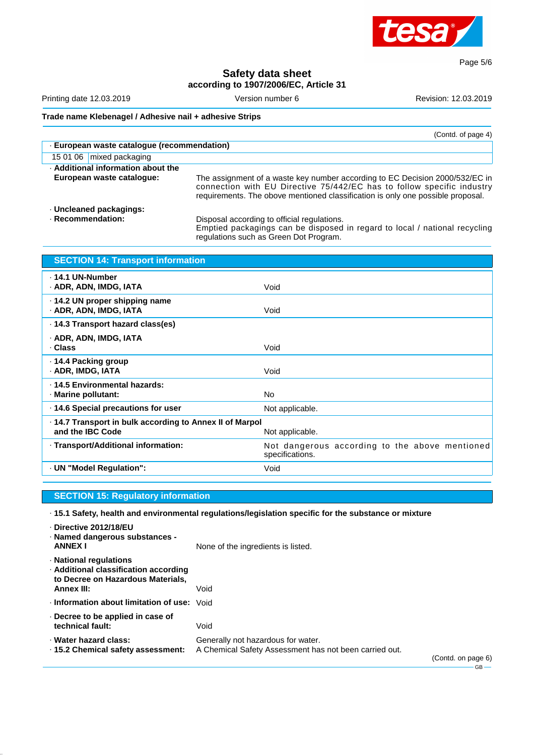

Page 5/6

### **Safety data sheet according to 1907/2006/EC, Article 31**

Printing date 12.03.2019 Version number 6 Revision: 12.03.2019

**Trade name Klebenagel / Adhesive nail + adhesive Strips**

|                                             | (Contd. of page 4)                                                                                                                                                                                                                        |
|---------------------------------------------|-------------------------------------------------------------------------------------------------------------------------------------------------------------------------------------------------------------------------------------------|
| · European waste catalogue (recommendation) |                                                                                                                                                                                                                                           |
| 15 01 06 mixed packaging                    |                                                                                                                                                                                                                                           |
| . Additional information about the          |                                                                                                                                                                                                                                           |
| European waste cataloque:                   | The assignment of a waste key number according to EC Decision 2000/532/EC in<br>connection with EU Directive 75/442/EC has to follow specific industry<br>requirements. The obove mentioned classification is only one possible proposal. |
| · Uncleaned packagings:                     |                                                                                                                                                                                                                                           |
| · Recommendation:                           | Disposal according to official regulations.<br>Emptied packagings can be disposed in regard to local / national recycling                                                                                                                 |

regulations such as Green Dot Program.

| <b>SECTION 14: Transport information</b>                                     |                                                                   |
|------------------------------------------------------------------------------|-------------------------------------------------------------------|
| $\cdot$ 14.1 UN-Number<br>· ADR, ADN, IMDG, IATA                             | Void                                                              |
| ⋅ 14.2 UN proper shipping name<br>· ADR, ADN, IMDG, IATA                     | Void                                                              |
| ⋅ 14.3 Transport hazard class(es)                                            |                                                                   |
| · ADR, ADN, IMDG, IATA<br>· Class                                            | Void                                                              |
| ⋅ 14.4 Packing group<br>· ADR, IMDG, IATA                                    | Void                                                              |
| · 14.5 Environmental hazards:<br>· Marine pollutant:                         | No.                                                               |
| 14.6 Special precautions for user                                            | Not applicable.                                                   |
| . 14.7 Transport in bulk according to Annex II of Marpol<br>and the IBC Code | Not applicable.                                                   |
| · Transport/Additional information:                                          | Not dangerous according to the above mentioned<br>specifications. |
| · UN "Model Regulation":                                                     | Void                                                              |

#### **SECTION 15: Regulatory information**

· **15.1 Safety, health and environmental regulations/legislation specific for the substance or mixture**

| Directive 2012/18/EU<br>· Named dangerous substances -<br><b>ANNEX I</b>                                                  | None of the ingredients is listed.                                                           |                    |
|---------------------------------------------------------------------------------------------------------------------------|----------------------------------------------------------------------------------------------|--------------------|
| · National regulations<br>· Additional classification according<br>to Decree on Hazardous Materials,<br><b>Annex III:</b> | Void                                                                                         |                    |
| Information about limitation of use:                                                                                      | Void                                                                                         |                    |
| $\cdot$ Decree to be applied in case of<br>technical fault:                                                               | Void                                                                                         |                    |
| · Water hazard class:<br>⋅ 15.2 Chemical safety assessment:                                                               | Generally not hazardous for water.<br>A Chemical Safety Assessment has not been carried out. | (Contd. on page 6) |